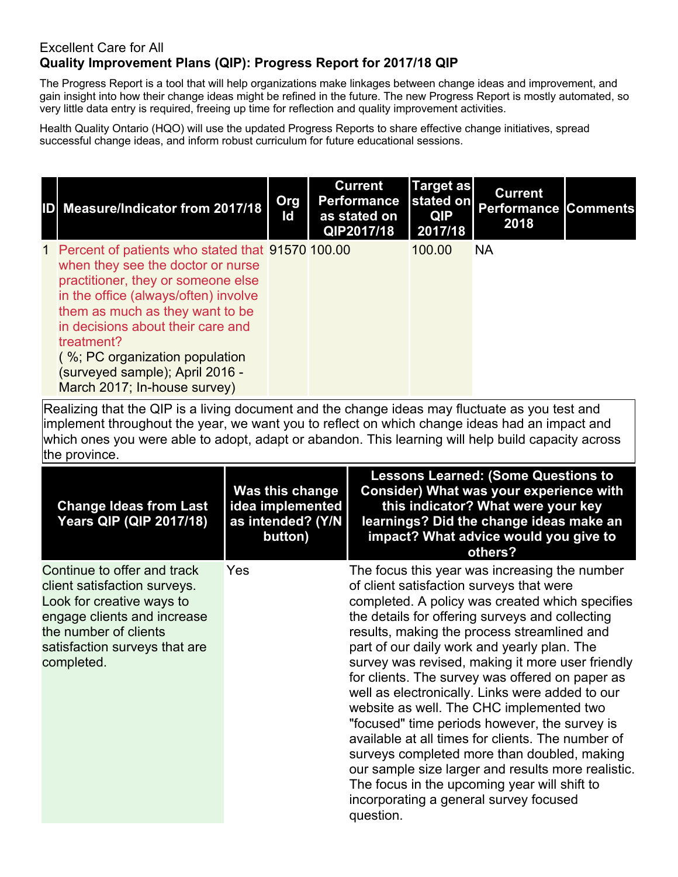## Excellent Care for All **Quality Improvement Plans (QIP): Progress Report for 2017/18 QIP**

The Progress Report is a tool that will help organizations make linkages between change ideas and improvement, and gain insight into how their change ideas might be refined in the future. The new Progress Report is mostly automated, so very little data entry is required, freeing up time for reflection and quality improvement activities.

Health Quality Ontario (HQO) will use the updated Progress Reports to share effective change initiatives, spread successful change ideas, and inform robust curriculum for future educational sessions.

| ID Measure/Indicator from 2017/18                                                                                                                                                                                                                                                                                                                                              | Org<br>ld | <b>Current</b><br>Performance<br>as stated on<br>QIP2017/18 | <b>Target as</b><br>stated on<br><b>QIP</b><br>2017/18 | <b>Current</b><br><b>Performance Comments</b><br>2018 |  |
|--------------------------------------------------------------------------------------------------------------------------------------------------------------------------------------------------------------------------------------------------------------------------------------------------------------------------------------------------------------------------------|-----------|-------------------------------------------------------------|--------------------------------------------------------|-------------------------------------------------------|--|
| 1 Percent of patients who stated that 91570 100.00<br>when they see the doctor or nurse<br>practitioner, they or someone else<br>in the office (always/often) involve<br>them as much as they want to be<br>in decisions about their care and<br>treatment?<br>$\frac{1}{2}$ (%; PC organization population<br>(surveyed sample); April 2016 -<br>March 2017; In-house survey) |           |                                                             | 100.00                                                 | <b>NA</b>                                             |  |

| <b>Change Ideas from Last</b><br><b>Years QIP (QIP 2017/18)</b>                                                                                                                                 | <b>Was this change</b><br>idea implemented<br>as intended? (Y/N<br>button) | <b>Lessons Learned: (Some Questions to</b><br><b>Consider) What was your experience with</b><br>this indicator? What were your key<br>learnings? Did the change ideas make an<br>impact? What advice would you give to<br>others?                                                                                                                                                                                                                                                                                                                                                                                                                                                                                                                                                                                     |
|-------------------------------------------------------------------------------------------------------------------------------------------------------------------------------------------------|----------------------------------------------------------------------------|-----------------------------------------------------------------------------------------------------------------------------------------------------------------------------------------------------------------------------------------------------------------------------------------------------------------------------------------------------------------------------------------------------------------------------------------------------------------------------------------------------------------------------------------------------------------------------------------------------------------------------------------------------------------------------------------------------------------------------------------------------------------------------------------------------------------------|
| Continue to offer and track<br>client satisfaction surveys.<br>Look for creative ways to<br>engage clients and increase<br>the number of clients<br>satisfaction surveys that are<br>completed. | Yes                                                                        | The focus this year was increasing the number<br>of client satisfaction surveys that were<br>completed. A policy was created which specifies<br>the details for offering surveys and collecting<br>results, making the process streamlined and<br>part of our daily work and yearly plan. The<br>survey was revised, making it more user friendly<br>for clients. The survey was offered on paper as<br>well as electronically. Links were added to our<br>website as well. The CHC implemented two<br>"focused" time periods however, the survey is<br>available at all times for clients. The number of<br>surveys completed more than doubled, making<br>our sample size larger and results more realistic.<br>The focus in the upcoming year will shift to<br>incorporating a general survey focused<br>question. |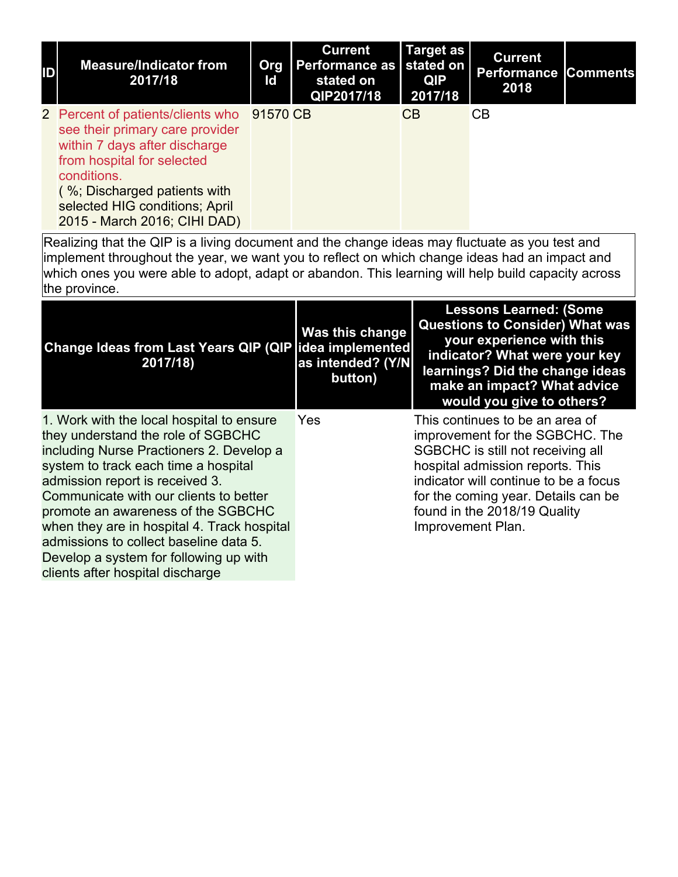| ID | <b>Measure/Indicator from</b><br>2017/18                                                                                                                                                                                                             | Org<br>Id | <b>Current</b><br>Performance as stated on<br>stated on<br>QIP2017/18 | <b>Target as</b><br><b>QIP</b><br>2017/18 | <b>Current</b><br><b>Performance</b><br>2018 | <b>Comments</b> |
|----|------------------------------------------------------------------------------------------------------------------------------------------------------------------------------------------------------------------------------------------------------|-----------|-----------------------------------------------------------------------|-------------------------------------------|----------------------------------------------|-----------------|
|    | 2 Percent of patients/clients who<br>see their primary care provider<br>within 7 days after discharge<br>from hospital for selected<br>conditions.<br>(%; Discharged patients with<br>selected HIG conditions; April<br>2015 - March 2016; CIHI DAD) | 91570 CB  |                                                                       | CB                                        | CB.                                          |                 |

| <b>Change Ideas from Last Years QIP (QIP)</b><br>2017/18)                                                                                                                                                                                                                                                                                                                                                                                                     | <b>Was this change</b><br>idea implemented<br>as intended? (Y/N<br>button) | <b>Lessons Learned: (Some</b><br><b>Questions to Consider) What was</b><br>your experience with this<br>indicator? What were your key<br>learnings? Did the change ideas<br>make an impact? What advice<br>would you give to others?                                             |
|---------------------------------------------------------------------------------------------------------------------------------------------------------------------------------------------------------------------------------------------------------------------------------------------------------------------------------------------------------------------------------------------------------------------------------------------------------------|----------------------------------------------------------------------------|----------------------------------------------------------------------------------------------------------------------------------------------------------------------------------------------------------------------------------------------------------------------------------|
| 1. Work with the local hospital to ensure<br>they understand the role of SGBCHC<br>including Nurse Practioners 2. Develop a<br>system to track each time a hospital<br>admission report is received 3.<br>Communicate with our clients to better<br>promote an awareness of the SGBCHC<br>when they are in hospital 4. Track hospital<br>admissions to collect baseline data 5.<br>Develop a system for following up with<br>clients after hospital discharge | Yes                                                                        | This continues to be an area of<br>improvement for the SGBCHC. The<br>SGBCHC is still not receiving all<br>hospital admission reports. This<br>indicator will continue to be a focus<br>for the coming year. Details can be<br>found in the 2018/19 Quality<br>Improvement Plan. |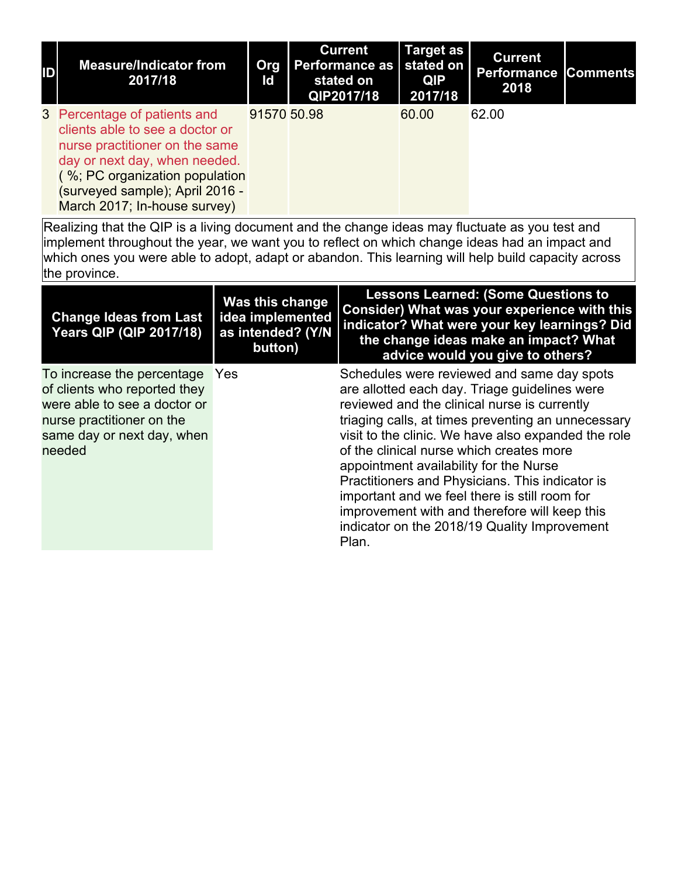| ID | <b>Measure/Indicator from</b><br>2017/18                                                                                                                                                                                                | Org<br>ld   | <b>Current</b><br><b>Performance as</b><br>stated on<br>QIP2017/18 | <b>Target as</b><br>stated on<br>QIP<br>2017/18 | <b>Current</b><br>Performance<br>2018 | <b>Comments</b> |
|----|-----------------------------------------------------------------------------------------------------------------------------------------------------------------------------------------------------------------------------------------|-------------|--------------------------------------------------------------------|-------------------------------------------------|---------------------------------------|-----------------|
|    | 3 Percentage of patients and<br>clients able to see a doctor or<br>nurse practitioner on the same<br>day or next day, when needed.<br>(%; PC organization population<br>(surveyed sample); April 2016 -<br>March 2017; In-house survey) | 91570 50.98 |                                                                    | 60.00                                           | 62.00                                 |                 |

| <b>Change Ideas from Last</b><br><b>Years QIP (QIP 2017/18)</b>                                                                                                 | Was this change<br>idea implemented<br>as intended? (Y/N<br>button) | <b>Lessons Learned: (Some Questions to</b><br>Consider) What was your experience with this<br>indicator? What were your key learnings? Did<br>the change ideas make an impact? What<br>advice would you give to others?                                                                                                                                                                                                                                                                                                                                      |
|-----------------------------------------------------------------------------------------------------------------------------------------------------------------|---------------------------------------------------------------------|--------------------------------------------------------------------------------------------------------------------------------------------------------------------------------------------------------------------------------------------------------------------------------------------------------------------------------------------------------------------------------------------------------------------------------------------------------------------------------------------------------------------------------------------------------------|
| To increase the percentage<br>of clients who reported they<br>were able to see a doctor or<br>nurse practitioner on the<br>same day or next day, when<br>needed | Yes                                                                 | Schedules were reviewed and same day spots<br>are allotted each day. Triage guidelines were<br>reviewed and the clinical nurse is currently<br>triaging calls, at times preventing an unnecessary<br>visit to the clinic. We have also expanded the role<br>of the clinical nurse which creates more<br>appointment availability for the Nurse<br>Practitioners and Physicians. This indicator is<br>important and we feel there is still room for<br>improvement with and therefore will keep this<br>indicator on the 2018/19 Quality Improvement<br>Plan. |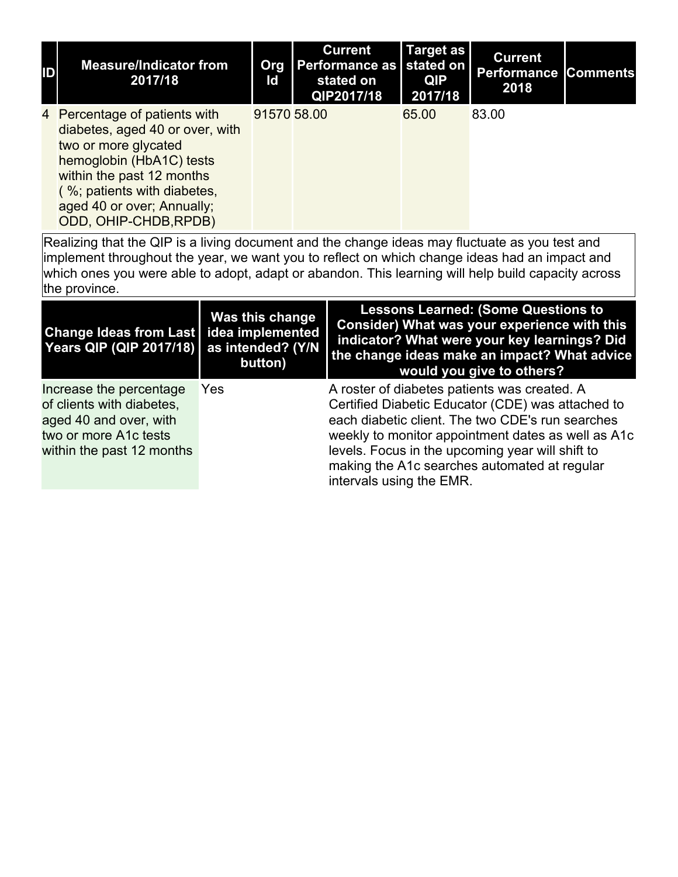| ID | <b>Measure/Indicator from</b><br>2017/18                                                                                                                                                                                                | Org<br>Id   | <b>Current</b><br>Performance as stated on I<br>stated on<br>QIP2017/18 | <b>Target as</b><br><b>QIP</b><br>2017/18 | <b>Current</b><br><b>Performance Comments</b><br>2018 |  |
|----|-----------------------------------------------------------------------------------------------------------------------------------------------------------------------------------------------------------------------------------------|-------------|-------------------------------------------------------------------------|-------------------------------------------|-------------------------------------------------------|--|
|    | 4 Percentage of patients with<br>diabetes, aged 40 or over, with<br>two or more glycated<br>hemoglobin (HbA1C) tests<br>within the past 12 months<br>(%; patients with diabetes,<br>aged 40 or over; Annually;<br>ODD, OHIP-CHDB, RPDB) | 91570 58.00 |                                                                         | 65.00                                     | 83.00                                                 |  |

| Change Ideas from Last   idea implemented<br>Years QIP (QIP 2017/18)                                                                 | Was this change<br>as intended? (Y/N<br>button) | <b>Lessons Learned: (Some Questions to</b><br>Consider) What was your experience with this<br>indicator? What were your key learnings? Did<br>the change ideas make an impact? What advice<br>would you give to others?                                                                                                                     |
|--------------------------------------------------------------------------------------------------------------------------------------|-------------------------------------------------|---------------------------------------------------------------------------------------------------------------------------------------------------------------------------------------------------------------------------------------------------------------------------------------------------------------------------------------------|
| Increase the percentage<br>of clients with diabetes,<br>aged 40 and over, with<br>two or more A1c tests<br>within the past 12 months | Yes                                             | A roster of diabetes patients was created. A<br>Certified Diabetic Educator (CDE) was attached to<br>each diabetic client. The two CDE's run searches<br>weekly to monitor appointment dates as well as A1c<br>levels. Focus in the upcoming year will shift to<br>making the A1c searches automated at regular<br>intervals using the EMR. |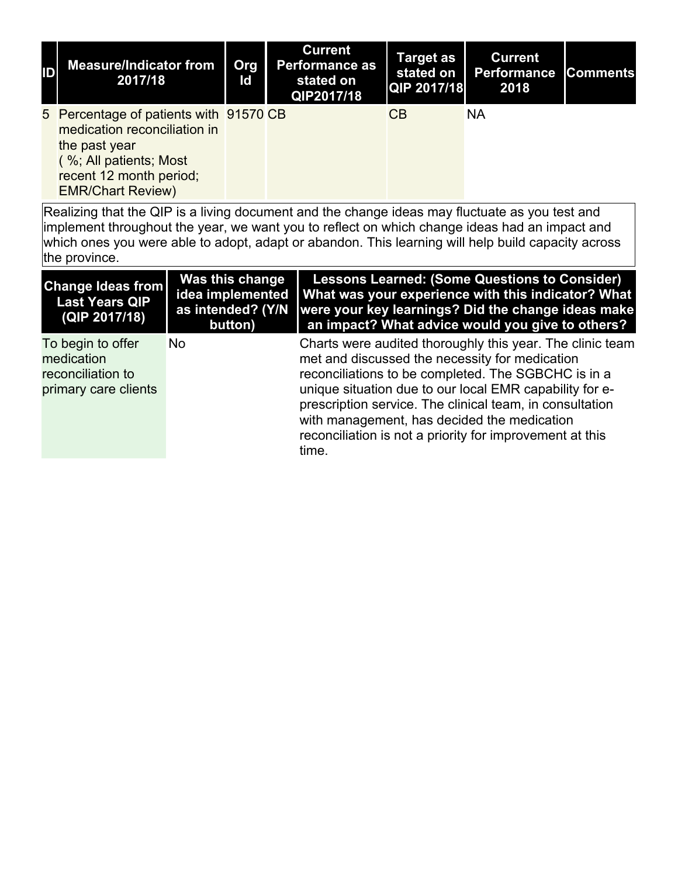| ID | <b>Measure/Indicator from</b><br>2017/18                                                                                                                                 | Org<br>ld | <b>Current</b><br><b>Performance as</b><br>stated on<br>QIP2017/18 | Target as<br>stated on<br><b>QIP 2017/18</b> | <b>Current</b><br><b>Performance</b><br>2018 | <b>Comments</b> |
|----|--------------------------------------------------------------------------------------------------------------------------------------------------------------------------|-----------|--------------------------------------------------------------------|----------------------------------------------|----------------------------------------------|-----------------|
|    | 5 Percentage of patients with 91570 CB<br>medication reconciliation in<br>the past year<br>(%; All patients; Most<br>recent 12 month period;<br><b>EMR/Chart Review)</b> |           |                                                                    | CB                                           | <b>NA</b>                                    |                 |

| <b>Change Ideas from</b><br><b>Last Years QIP</b><br>(QIP 2017/18)           | Was this change<br>idea implemented<br>as intended? (Y/N<br>button) | <b>Lessons Learned: (Some Questions to Consider)</b><br>What was your experience with this indicator? What<br>were your key learnings? Did the change ideas make<br>an impact? What advice would you give to others?                                                                                                                                                                                          |
|------------------------------------------------------------------------------|---------------------------------------------------------------------|---------------------------------------------------------------------------------------------------------------------------------------------------------------------------------------------------------------------------------------------------------------------------------------------------------------------------------------------------------------------------------------------------------------|
| To begin to offer<br>medication<br>reconciliation to<br>primary care clients | <b>No</b>                                                           | Charts were audited thoroughly this year. The clinic team<br>met and discussed the necessity for medication<br>reconciliations to be completed. The SGBCHC is in a<br>unique situation due to our local EMR capability for e-<br>prescription service. The clinical team, in consultation<br>with management, has decided the medication<br>reconciliation is not a priority for improvement at this<br>time. |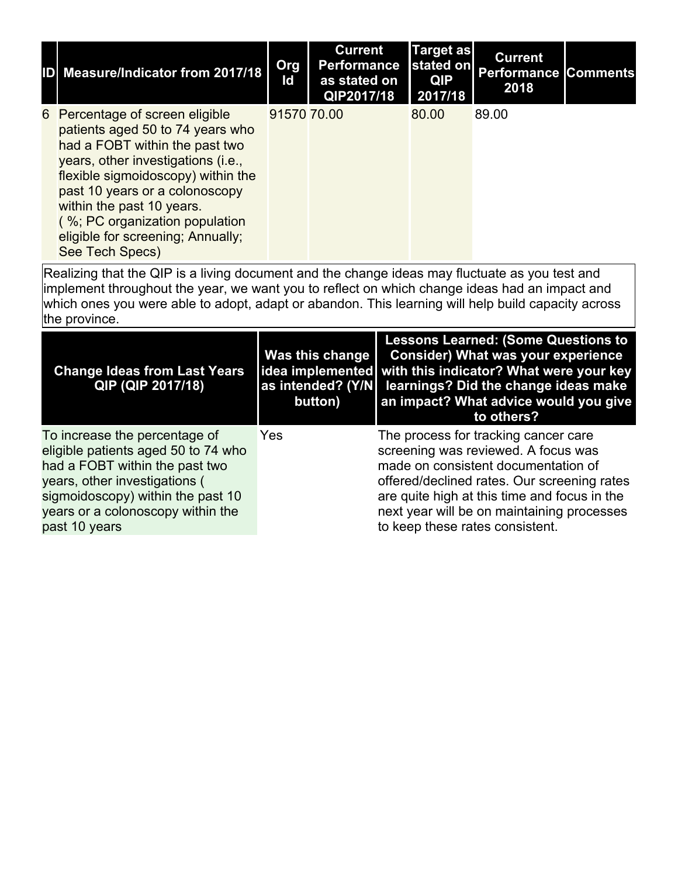| <b>Measure/Indicator from 2017/18</b>                                                                                                                                                                                                                                                                                                      | Org<br>ld   | <b>Current</b><br><b>Performance</b><br>as stated on<br>QIP2017/18 | <b>Target as</b><br>stated on<br><b>QIP</b><br>2017/18 | <b>Current</b><br><b>Performance Comments</b><br>2018 |  |
|--------------------------------------------------------------------------------------------------------------------------------------------------------------------------------------------------------------------------------------------------------------------------------------------------------------------------------------------|-------------|--------------------------------------------------------------------|--------------------------------------------------------|-------------------------------------------------------|--|
| 6 Percentage of screen eligible<br>patients aged 50 to 74 years who<br>had a FOBT within the past two<br>years, other investigations (i.e.,<br>flexible sigmoidoscopy) within the<br>past 10 years or a colonoscopy<br>within the past 10 years.<br>(%; PC organization population<br>eligible for screening; Annually;<br>See Tech Specs) | 91570 70.00 |                                                                    | 80.00                                                  | 89.00                                                 |  |

| <b>Change Ideas from Last Years</b><br>QIP (QIP 2017/18)                                                                                                                                                                           | Was this change  <br>as intended? (Y/N)<br>button) | <b>Lessons Learned: (Some Questions to</b><br><b>Consider) What was your experience</b><br>idea implemented with this indicator? What were your key<br>learnings? Did the change ideas make<br>an impact? What advice would you give<br>to others?                                                 |
|------------------------------------------------------------------------------------------------------------------------------------------------------------------------------------------------------------------------------------|----------------------------------------------------|----------------------------------------------------------------------------------------------------------------------------------------------------------------------------------------------------------------------------------------------------------------------------------------------------|
| To increase the percentage of<br>eligible patients aged 50 to 74 who<br>had a FOBT within the past two<br>years, other investigations (<br>sigmoidoscopy) within the past 10<br>years or a colonoscopy within the<br>past 10 years | Yes                                                | The process for tracking cancer care<br>screening was reviewed. A focus was<br>made on consistent documentation of<br>offered/declined rates. Our screening rates<br>are quite high at this time and focus in the<br>next year will be on maintaining processes<br>to keep these rates consistent. |